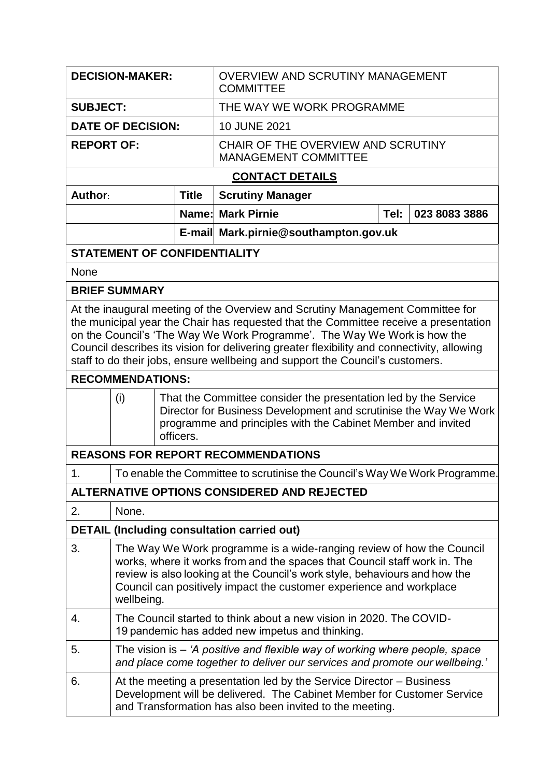| <b>DECISION-MAKER:</b>                                                                                                                                                                                                                                                                                                                                                                                                                                       |                                                                                                                                                                                                                                                                                                                       |              | <b>OVERVIEW AND SCRUTINY MANAGEMENT</b><br><b>COMMITTEE</b>                |      |               |  |  |  |  |
|--------------------------------------------------------------------------------------------------------------------------------------------------------------------------------------------------------------------------------------------------------------------------------------------------------------------------------------------------------------------------------------------------------------------------------------------------------------|-----------------------------------------------------------------------------------------------------------------------------------------------------------------------------------------------------------------------------------------------------------------------------------------------------------------------|--------------|----------------------------------------------------------------------------|------|---------------|--|--|--|--|
| <b>SUBJECT:</b>                                                                                                                                                                                                                                                                                                                                                                                                                                              |                                                                                                                                                                                                                                                                                                                       |              | THE WAY WE WORK PROGRAMME                                                  |      |               |  |  |  |  |
| <b>DATE OF DECISION:</b>                                                                                                                                                                                                                                                                                                                                                                                                                                     |                                                                                                                                                                                                                                                                                                                       |              | 10 JUNE 2021                                                               |      |               |  |  |  |  |
| <b>REPORT OF:</b>                                                                                                                                                                                                                                                                                                                                                                                                                                            |                                                                                                                                                                                                                                                                                                                       |              | CHAIR OF THE OVERVIEW AND SCRUTINY<br><b>MANAGEMENT COMMITTEE</b>          |      |               |  |  |  |  |
| <b>CONTACT DETAILS</b>                                                                                                                                                                                                                                                                                                                                                                                                                                       |                                                                                                                                                                                                                                                                                                                       |              |                                                                            |      |               |  |  |  |  |
| Author:                                                                                                                                                                                                                                                                                                                                                                                                                                                      |                                                                                                                                                                                                                                                                                                                       | <b>Title</b> | <b>Scrutiny Manager</b>                                                    |      |               |  |  |  |  |
|                                                                                                                                                                                                                                                                                                                                                                                                                                                              |                                                                                                                                                                                                                                                                                                                       |              | <b>Name: Mark Pirnie</b>                                                   | Tel: | 023 8083 3886 |  |  |  |  |
|                                                                                                                                                                                                                                                                                                                                                                                                                                                              |                                                                                                                                                                                                                                                                                                                       |              | E-mail Mark.pirnie@southampton.gov.uk                                      |      |               |  |  |  |  |
| <b>STATEMENT OF CONFIDENTIALITY</b>                                                                                                                                                                                                                                                                                                                                                                                                                          |                                                                                                                                                                                                                                                                                                                       |              |                                                                            |      |               |  |  |  |  |
| None                                                                                                                                                                                                                                                                                                                                                                                                                                                         |                                                                                                                                                                                                                                                                                                                       |              |                                                                            |      |               |  |  |  |  |
| <b>BRIEF SUMMARY</b>                                                                                                                                                                                                                                                                                                                                                                                                                                         |                                                                                                                                                                                                                                                                                                                       |              |                                                                            |      |               |  |  |  |  |
| At the inaugural meeting of the Overview and Scrutiny Management Committee for<br>the municipal year the Chair has requested that the Committee receive a presentation<br>on the Council's 'The Way We Work Programme'. The Way We Work is how the<br>Council describes its vision for delivering greater flexibility and connectivity, allowing<br>staff to do their jobs, ensure wellbeing and support the Council's customers.<br><b>RECOMMENDATIONS:</b> |                                                                                                                                                                                                                                                                                                                       |              |                                                                            |      |               |  |  |  |  |
|                                                                                                                                                                                                                                                                                                                                                                                                                                                              |                                                                                                                                                                                                                                                                                                                       |              |                                                                            |      |               |  |  |  |  |
|                                                                                                                                                                                                                                                                                                                                                                                                                                                              | That the Committee consider the presentation led by the Service<br>(i)<br>Director for Business Development and scrutinise the Way We Work<br>programme and principles with the Cabinet Member and invited<br>officers.                                                                                               |              |                                                                            |      |               |  |  |  |  |
|                                                                                                                                                                                                                                                                                                                                                                                                                                                              |                                                                                                                                                                                                                                                                                                                       |              | <b>REASONS FOR REPORT RECOMMENDATIONS</b>                                  |      |               |  |  |  |  |
| 1.                                                                                                                                                                                                                                                                                                                                                                                                                                                           |                                                                                                                                                                                                                                                                                                                       |              | To enable the Committee to scrutinise the Council's Way We Work Programme. |      |               |  |  |  |  |
|                                                                                                                                                                                                                                                                                                                                                                                                                                                              |                                                                                                                                                                                                                                                                                                                       |              | ALTERNATIVE OPTIONS CONSIDERED AND REJECTED                                |      |               |  |  |  |  |
| 2.                                                                                                                                                                                                                                                                                                                                                                                                                                                           | None.                                                                                                                                                                                                                                                                                                                 |              |                                                                            |      |               |  |  |  |  |
| <b>DETAIL (Including consultation carried out)</b>                                                                                                                                                                                                                                                                                                                                                                                                           |                                                                                                                                                                                                                                                                                                                       |              |                                                                            |      |               |  |  |  |  |
| 3.                                                                                                                                                                                                                                                                                                                                                                                                                                                           | The Way We Work programme is a wide-ranging review of how the Council<br>works, where it works from and the spaces that Council staff work in. The<br>review is also looking at the Council's work style, behaviours and how the<br>Council can positively impact the customer experience and workplace<br>wellbeing. |              |                                                                            |      |               |  |  |  |  |
| 4.                                                                                                                                                                                                                                                                                                                                                                                                                                                           | The Council started to think about a new vision in 2020. The COVID-<br>19 pandemic has added new impetus and thinking.                                                                                                                                                                                                |              |                                                                            |      |               |  |  |  |  |
| 5.                                                                                                                                                                                                                                                                                                                                                                                                                                                           | The vision is $-$ 'A positive and flexible way of working where people, space<br>and place come together to deliver our services and promote our wellbeing.'                                                                                                                                                          |              |                                                                            |      |               |  |  |  |  |
| 6.                                                                                                                                                                                                                                                                                                                                                                                                                                                           | At the meeting a presentation led by the Service Director – Business<br>Development will be delivered. The Cabinet Member for Customer Service<br>and Transformation has also been invited to the meeting.                                                                                                            |              |                                                                            |      |               |  |  |  |  |